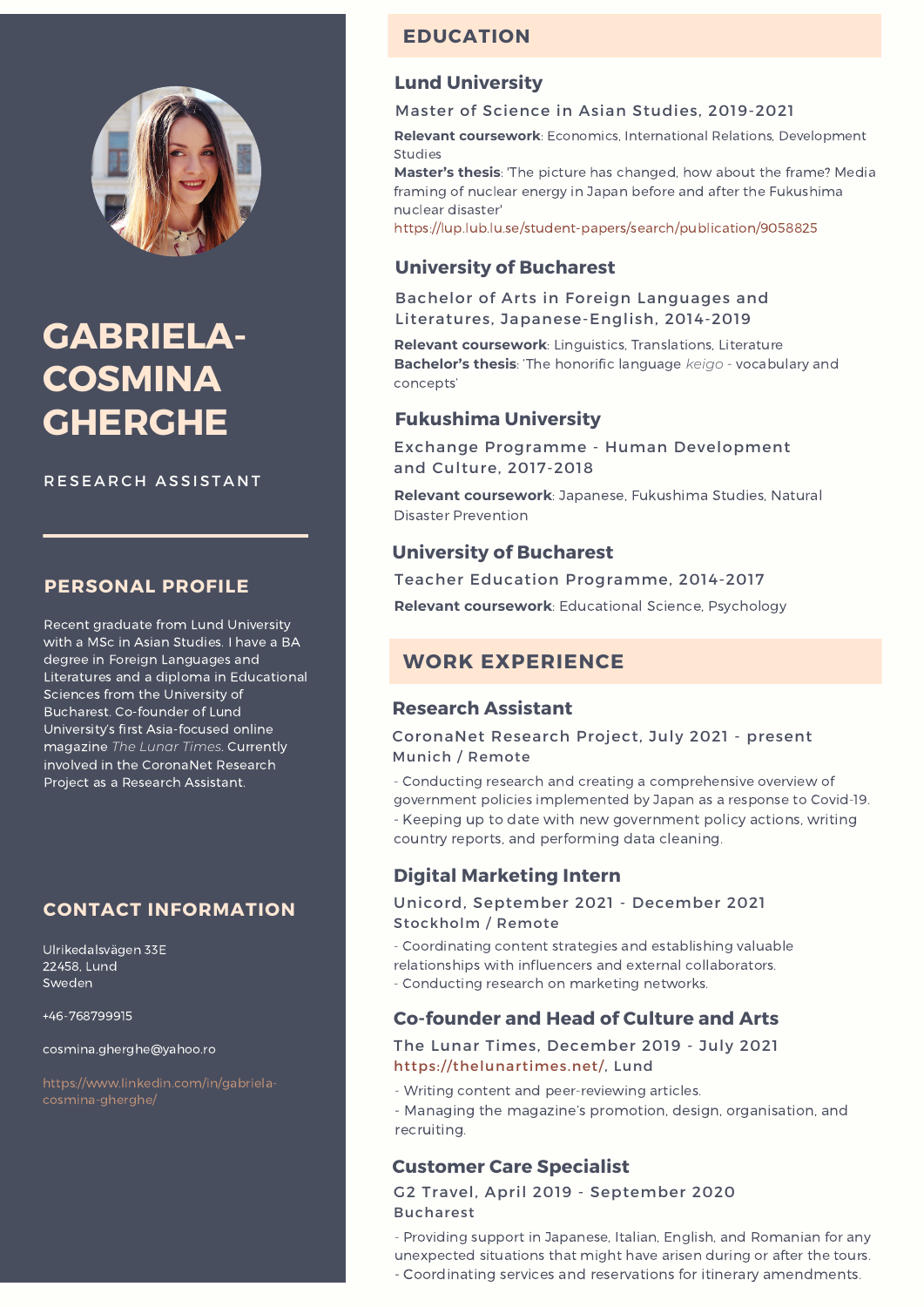

# **GABRIELA-COSMINA GHERGHE**

RESEARCH ASSISTANT

# **PERSONAL PROFILE**

Recent graduate from Lund University with a MSc in Asian Studies. I have a BA degree in Foreign Languages and Literatures and a diploma in Educational Sciences from the University of Bucharest. Co-founder of Lund University's first Asia-focused online magazine *The Lunar Times*. Currently involved in the CoronaNet Research Project as a Research Assistant.

# **CONTACT INFORMATION**

Ulrikedalsvägen 33E 22458, Lund Sweden

+46-768799915

cosmina.gherghe@yahoo.ro

# **EDUCATION**

### **Lund University**

#### Master of Science in Asian Studies, 2019-2021

**Relevant coursework**: Economics, International Relations, Development **Studies** 

**Master's thesis**: 'The picture has changed, how about the frame? Media framing of nuclear energy in Japan before and after the Fukushima nuclear disaster'

<https://lup.lub.lu.se/student-papers/search/publication/9058825>

### **University of Bucharest**

Bachelor of Arts in Foreign Languages and Literatures, Japanese-English, 2014-2019

**Relevant coursework**: Linguistics, Translations, Literature **Bachelor's thesis**: 'The honorific language *keigo* - vocabulary and concepts'

### **Fukushima University**

Exchange Programme - Human Development and Culture, 2017-2018

**Relevant coursework**: Japanese, Fukushima Studies, Natural Disaster Prevention

### **University of Bucharest**

Teacher Education Programme, 2014-2017

**Relevant coursework**: Educational Science, Psychology

# **WORK EXPERIENCE**

### **Research Assistant**

CoronaNet Research Project, July 2021 - present Munich / Remote

- Conducting research and creating a comprehensive overview of government policies implemented by Japan as a response to Covid-19. - Keeping up to date with new government policy actions, writing country reports, and performing data cleaning.

### **Digital Marketing Intern**

#### Unicord, September 2021 - December 2021 Stockholm / Remote

- Coordinating content strategies and establishing valuable relationships with influencers and external collaborators. - Conducting research on marketing networks.

### **Co-founder and Head of Culture and Arts**

The Lunar Times, December 2019 - July 2021 [https://thelunartimes.net/,](https://thelunartimes.net/) Lund

- Writing content and peer-reviewing articles.

- Managing the magazine's promotion, design, organisation, and recruiting.

### **Customer Care Specialist**

G2 Travel, April 2019 - September 2020 Bucharest

- Providing support in Japanese, Italian, English, and Romanian for any unexpected situations that might have arisen during or after the tours.

- Coordinating services and reservations for itinerary amendments.